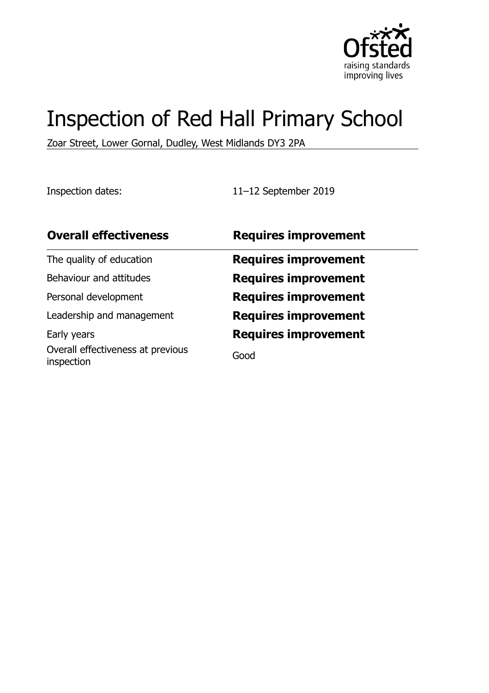

# Inspection of Red Hall Primary School

Zoar Street, Lower Gornal, Dudley, West Midlands DY3 2PA

Inspection dates: 11–12 September 2019

| <b>Overall effectiveness</b>                    | <b>Requires improvement</b> |
|-------------------------------------------------|-----------------------------|
| The quality of education                        | <b>Requires improvement</b> |
| Behaviour and attitudes                         | <b>Requires improvement</b> |
| Personal development                            | <b>Requires improvement</b> |
| Leadership and management                       | <b>Requires improvement</b> |
| Early years                                     | <b>Requires improvement</b> |
| Overall effectiveness at previous<br>inspection | Good                        |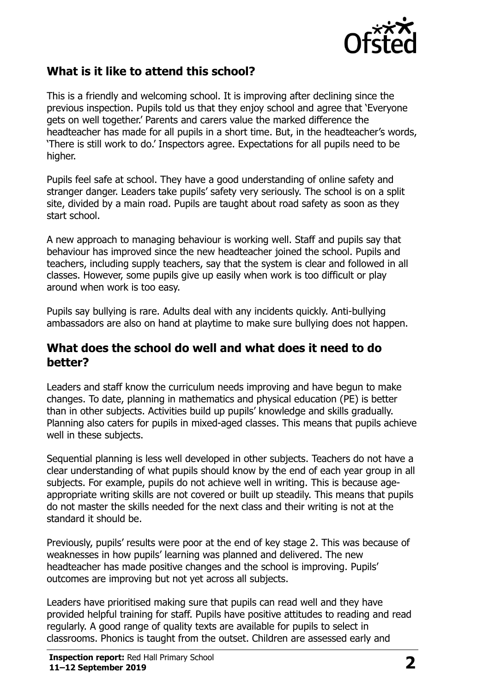

# **What is it like to attend this school?**

This is a friendly and welcoming school. It is improving after declining since the previous inspection. Pupils told us that they enjoy school and agree that 'Everyone gets on well together.' Parents and carers value the marked difference the headteacher has made for all pupils in a short time. But, in the headteacher's words, 'There is still work to do.' Inspectors agree. Expectations for all pupils need to be higher.

Pupils feel safe at school. They have a good understanding of online safety and stranger danger. Leaders take pupils' safety very seriously. The school is on a split site, divided by a main road. Pupils are taught about road safety as soon as they start school.

A new approach to managing behaviour is working well. Staff and pupils say that behaviour has improved since the new headteacher joined the school. Pupils and teachers, including supply teachers, say that the system is clear and followed in all classes. However, some pupils give up easily when work is too difficult or play around when work is too easy.

Pupils say bullying is rare. Adults deal with any incidents quickly. Anti-bullying ambassadors are also on hand at playtime to make sure bullying does not happen.

#### **What does the school do well and what does it need to do better?**

Leaders and staff know the curriculum needs improving and have begun to make changes. To date, planning in mathematics and physical education (PE) is better than in other subjects. Activities build up pupils' knowledge and skills gradually. Planning also caters for pupils in mixed-aged classes. This means that pupils achieve well in these subjects.

Sequential planning is less well developed in other subjects. Teachers do not have a clear understanding of what pupils should know by the end of each year group in all subjects. For example, pupils do not achieve well in writing. This is because ageappropriate writing skills are not covered or built up steadily. This means that pupils do not master the skills needed for the next class and their writing is not at the standard it should be.

Previously, pupils' results were poor at the end of key stage 2. This was because of weaknesses in how pupils' learning was planned and delivered. The new headteacher has made positive changes and the school is improving. Pupils' outcomes are improving but not yet across all subjects.

Leaders have prioritised making sure that pupils can read well and they have provided helpful training for staff. Pupils have positive attitudes to reading and read regularly. A good range of quality texts are available for pupils to select in classrooms. Phonics is taught from the outset. Children are assessed early and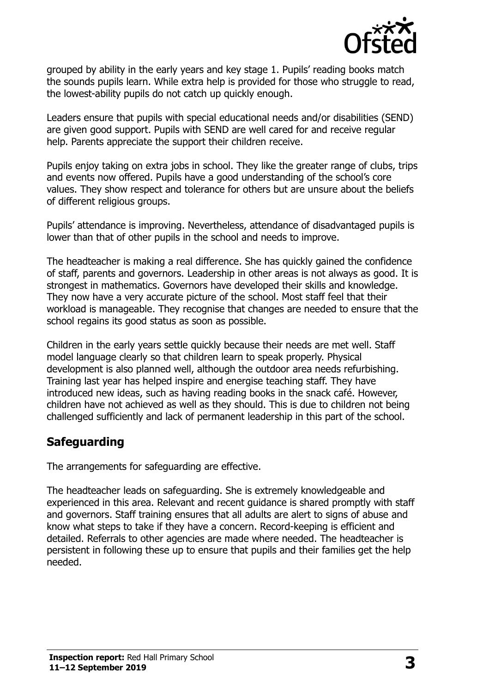

grouped by ability in the early years and key stage 1. Pupils' reading books match the sounds pupils learn. While extra help is provided for those who struggle to read, the lowest-ability pupils do not catch up quickly enough.

Leaders ensure that pupils with special educational needs and/or disabilities (SEND) are given good support. Pupils with SEND are well cared for and receive regular help. Parents appreciate the support their children receive.

Pupils enjoy taking on extra jobs in school. They like the greater range of clubs, trips and events now offered. Pupils have a good understanding of the school's core values. They show respect and tolerance for others but are unsure about the beliefs of different religious groups.

Pupils' attendance is improving. Nevertheless, attendance of disadvantaged pupils is lower than that of other pupils in the school and needs to improve.

The headteacher is making a real difference. She has quickly gained the confidence of staff, parents and governors. Leadership in other areas is not always as good. It is strongest in mathematics. Governors have developed their skills and knowledge. They now have a very accurate picture of the school. Most staff feel that their workload is manageable. They recognise that changes are needed to ensure that the school regains its good status as soon as possible.

Children in the early years settle quickly because their needs are met well. Staff model language clearly so that children learn to speak properly. Physical development is also planned well, although the outdoor area needs refurbishing. Training last year has helped inspire and energise teaching staff. They have introduced new ideas, such as having reading books in the snack café. However, children have not achieved as well as they should. This is due to children not being challenged sufficiently and lack of permanent leadership in this part of the school.

### **Safeguarding**

The arrangements for safeguarding are effective.

The headteacher leads on safeguarding. She is extremely knowledgeable and experienced in this area. Relevant and recent guidance is shared promptly with staff and governors. Staff training ensures that all adults are alert to signs of abuse and know what steps to take if they have a concern. Record-keeping is efficient and detailed. Referrals to other agencies are made where needed. The headteacher is persistent in following these up to ensure that pupils and their families get the help needed.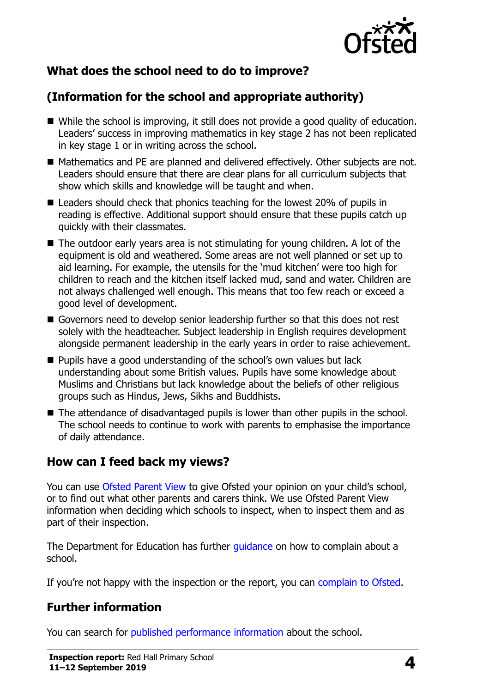

# **What does the school need to do to improve?**

# **(Information for the school and appropriate authority)**

- While the school is improving, it still does not provide a good quality of education. Leaders' success in improving mathematics in key stage 2 has not been replicated in key stage 1 or in writing across the school.
- Mathematics and PE are planned and delivered effectively. Other subjects are not. Leaders should ensure that there are clear plans for all curriculum subjects that show which skills and knowledge will be taught and when.
- Leaders should check that phonics teaching for the lowest 20% of pupils in reading is effective. Additional support should ensure that these pupils catch up quickly with their classmates.
- The outdoor early years area is not stimulating for young children. A lot of the equipment is old and weathered. Some areas are not well planned or set up to aid learning. For example, the utensils for the 'mud kitchen' were too high for children to reach and the kitchen itself lacked mud, sand and water. Children are not always challenged well enough. This means that too few reach or exceed a good level of development.
- Governors need to develop senior leadership further so that this does not rest solely with the headteacher. Subject leadership in English requires development alongside permanent leadership in the early years in order to raise achievement.
- Pupils have a good understanding of the school's own values but lack understanding about some British values. Pupils have some knowledge about Muslims and Christians but lack knowledge about the beliefs of other religious groups such as Hindus, Jews, Sikhs and Buddhists.
- The attendance of disadvantaged pupils is lower than other pupils in the school. The school needs to continue to work with parents to emphasise the importance of daily attendance.

### **How can I feed back my views?**

You can use [Ofsted Parent View](http://parentview.ofsted.gov.uk/) to give Ofsted your opinion on your child's school, or to find out what other parents and carers think. We use Ofsted Parent View information when deciding which schools to inspect, when to inspect them and as part of their inspection.

The Department for Education has further quidance on how to complain about a school.

If you're not happy with the inspection or the report, you can [complain to Ofsted.](http://www.gov.uk/complain-ofsted-report)

#### **Further information**

You can search for [published performance information](http://www.compare-school-performance.service.gov.uk/) about the school.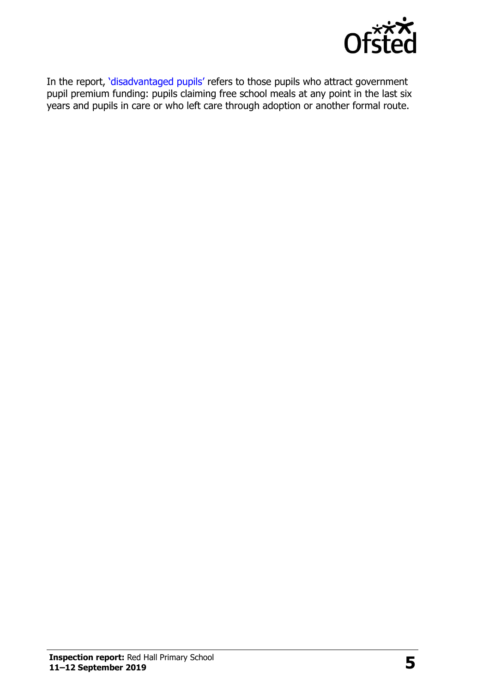

In the report, '[disadvantaged pupils](http://www.gov.uk/guidance/pupil-premium-information-for-schools-and-alternative-provision-settings)' refers to those pupils who attract government pupil premium funding: pupils claiming free school meals at any point in the last six years and pupils in care or who left care through adoption or another formal route.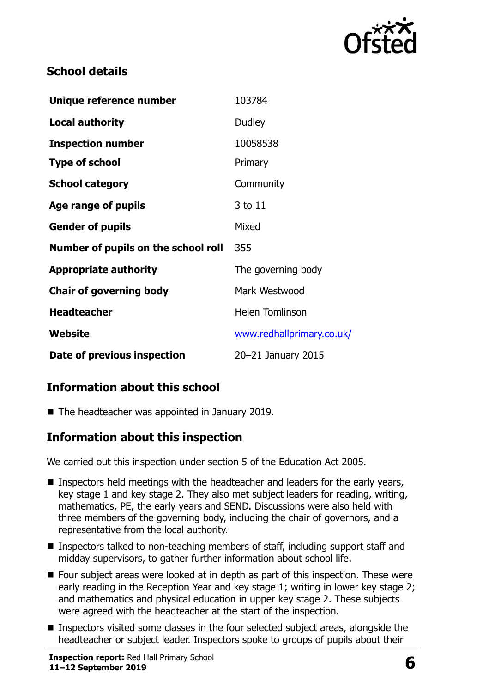

# **School details**

| Unique reference number             | 103784                    |
|-------------------------------------|---------------------------|
| <b>Local authority</b>              | <b>Dudley</b>             |
| <b>Inspection number</b>            | 10058538                  |
| <b>Type of school</b>               | Primary                   |
| <b>School category</b>              | Community                 |
| Age range of pupils                 | 3 to 11                   |
| <b>Gender of pupils</b>             | Mixed                     |
| Number of pupils on the school roll | 355                       |
| <b>Appropriate authority</b>        | The governing body        |
| <b>Chair of governing body</b>      | Mark Westwood             |
| <b>Headteacher</b>                  | <b>Helen Tomlinson</b>    |
| Website                             | www.redhallprimary.co.uk/ |
| Date of previous inspection         | 20-21 January 2015        |

# **Information about this school**

■ The headteacher was appointed in January 2019.

### **Information about this inspection**

We carried out this inspection under section 5 of the Education Act 2005.

- Inspectors held meetings with the headteacher and leaders for the early years, key stage 1 and key stage 2. They also met subject leaders for reading, writing, mathematics, PE, the early years and SEND. Discussions were also held with three members of the governing body, including the chair of governors, and a representative from the local authority.
- Inspectors talked to non-teaching members of staff, including support staff and midday supervisors, to gather further information about school life.
- Four subject areas were looked at in depth as part of this inspection. These were early reading in the Reception Year and key stage 1; writing in lower key stage 2; and mathematics and physical education in upper key stage 2. These subjects were agreed with the headteacher at the start of the inspection.
- Inspectors visited some classes in the four selected subject areas, alongside the headteacher or subject leader. Inspectors spoke to groups of pupils about their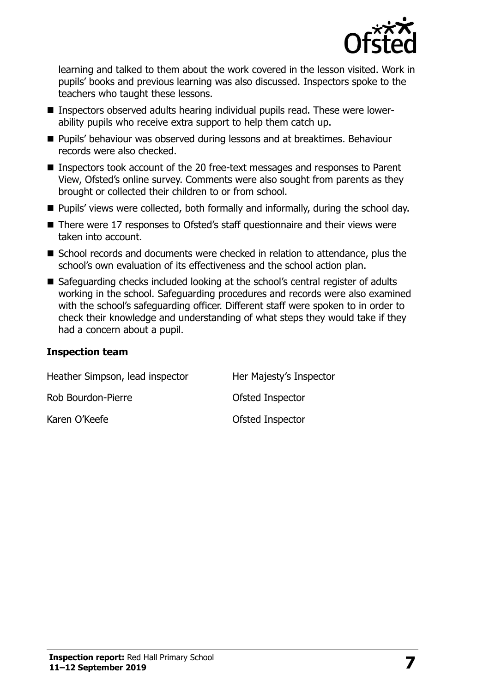

learning and talked to them about the work covered in the lesson visited. Work in pupils' books and previous learning was also discussed. Inspectors spoke to the teachers who taught these lessons.

- Inspectors observed adults hearing individual pupils read. These were lowerability pupils who receive extra support to help them catch up.
- Pupils' behaviour was observed during lessons and at breaktimes. Behaviour records were also checked.
- Inspectors took account of the 20 free-text messages and responses to Parent View, Ofsted's online survey. Comments were also sought from parents as they brought or collected their children to or from school.
- Pupils' views were collected, both formally and informally, during the school day.
- There were 17 responses to Ofsted's staff questionnaire and their views were taken into account.
- School records and documents were checked in relation to attendance, plus the school's own evaluation of its effectiveness and the school action plan.
- Safeguarding checks included looking at the school's central register of adults working in the school. Safeguarding procedures and records were also examined with the school's safeguarding officer. Different staff were spoken to in order to check their knowledge and understanding of what steps they would take if they had a concern about a pupil.

#### **Inspection team**

| Heather Simpson, lead inspector | Her Majesty's Inspector |
|---------------------------------|-------------------------|
| Rob Bourdon-Pierre              | Ofsted Inspector        |
| Karen O'Keefe                   | Ofsted Inspector        |